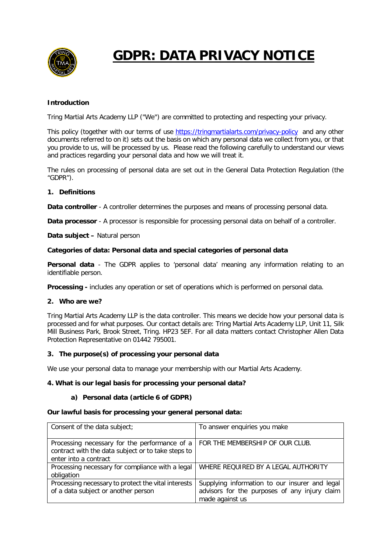

# **GDPR: DATA PRIVACY NOTICE**

## **Introduction**

Tring Martial Arts Academy LLP ("We") are committed to protecting and respecting your privacy.

This policy (together with our terms of use<https://tringmartialarts.com/privacy-policy> and any other documents referred to on it) sets out the basis on which any personal data we collect from you, or that you provide to us, will be processed by us. Please read the following carefully to understand our views and practices regarding your personal data and how we will treat it.

The rules on processing of personal data are set out in the General Data Protection Regulation (the "GDPR").

## **1. Definitions**

**Data controller** - A controller determines the purposes and means of processing personal data.

**Data processor** - A processor is responsible for processing personal data on behalf of a controller.

**Data subject –** Natural person

#### **Categories of data: Personal data and special categories of personal data**

**Personal data** - The GDPR applies to 'personal data' meaning any information relating to an identifiable person.

**Processing -** includes any operation or set of operations which is performed on personal data.

#### **2. Who are we?**

Tring Martial Arts Academy LLP is the data controller. This means we decide how your personal data is processed and for what purposes. Our contact details are: Tring Martial Arts Academy LLP, Unit 11, Silk Mill Business Park, Brook Street, Tring. HP23 5EF. For all data matters contact Christopher Allen Data Protection Representative on 01442 795001.

#### **3. The purpose(s) of processing your personal data**

We use your personal data to manage your membership with our Martial Arts Academy.

## **4. What is our legal basis for processing your personal data?**

#### **a) Personal data (article 6 of GDPR)**

#### **Our lawful basis for processing your general personal data:**

| Consent of the data subject;                                                                                                                                         | To answer enquiries you make                                                                                       |
|----------------------------------------------------------------------------------------------------------------------------------------------------------------------|--------------------------------------------------------------------------------------------------------------------|
| Processing necessary for the performance of a $\vert$ FOR THE MEMBERSHIP OF OUR CLUB.<br>contract with the data subject or to take steps to<br>enter into a contract |                                                                                                                    |
| Processing necessary for compliance with a legal<br>obligation                                                                                                       | WHERE REQUIRED BY A LEGAL AUTHORITY                                                                                |
| Processing necessary to protect the vital interests<br>of a data subject or another person                                                                           | Supplying information to our insurer and legal<br>advisors for the purposes of any injury claim<br>made against us |